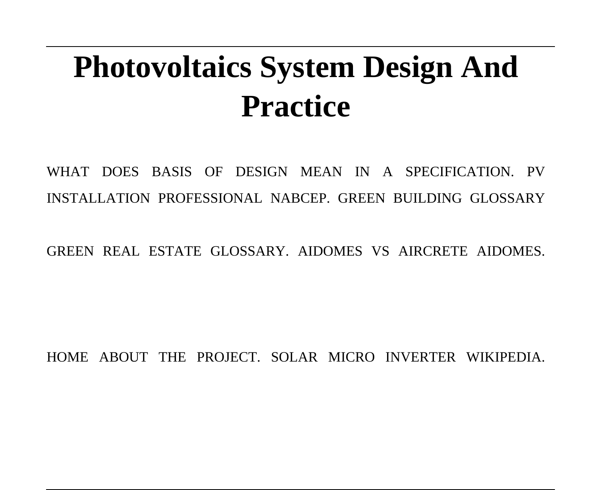# **Photovoltaics System Design And Practice**

WHAT DOES BASIS OF DESIGN MEAN IN A SPECIFICATION PV INSTALLATION PROFESSIONAL NABCEP. GREEN BUILDING GLOSSARY

GREEN REAL ESTATE GLOSSARY. AIDOMES VS AIRCRETE AIDOMES.

HOME ABOUT THE PROJECT. SOLAR MICRO INVERTER WIKIPEDIA.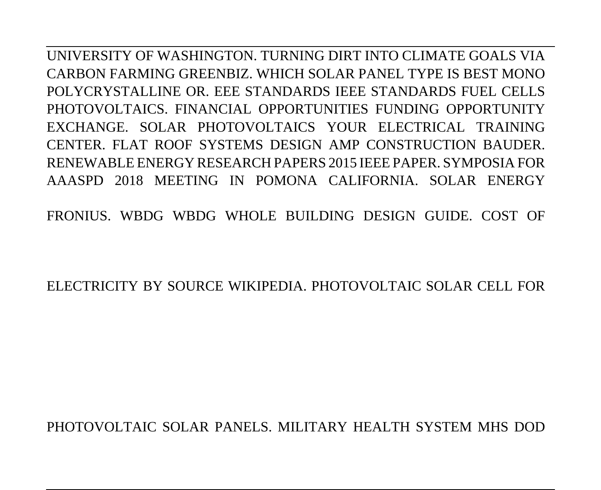UNIVERSITY OF WASHINGTON. TURNING DIRT INTO CLIMATE GOALS VIA CARBON FARMING GREENBIZ. WHICH SOLAR PANEL TYPE IS BEST MONO POLYCRYSTALLINE OR. EEE STANDARDS IEEE STANDARDS FUEL CELLS PHOTOVOLTAICS. FINANCIAL OPPORTUNITIES FUNDING OPPORTUNITY EXCHANGE. SOLAR PHOTOVOLTAICS YOUR ELECTRICAL TRAINING CENTER. FLAT ROOF SYSTEMS DESIGN AMP CONSTRUCTION BAUDER. RENEWABLE ENERGY RESEARCH PAPERS 2015 IEEE PAPER. SYMPOSIA FOR AAASPD 2018 MEETING IN POMONA CALIFORNIA. SOLAR ENERGY

FRONIUS. WBDG WBDG WHOLE BUILDING DESIGN GUIDE. COST OF

ELECTRICITY BY SOURCE WIKIPEDIA. PHOTOVOLTAIC SOLAR CELL FOR

PHOTOVOLTAIC SOLAR PANELS. MILITARY HEALTH SYSTEM MHS DOD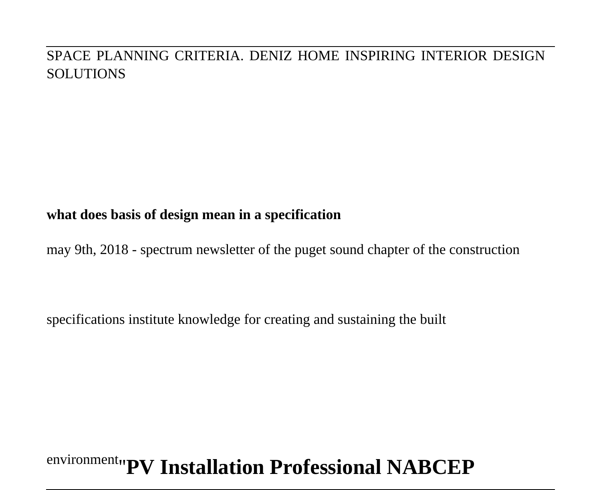#### SPACE PLANNING CRITERIA. DENIZ HOME INSPIRING INTERIOR DESIGN SOLUTIONS

#### **what does basis of design mean in a specification**

may 9th, 2018 - spectrum newsletter of the puget sound chapter of the construction

specifications institute knowledge for creating and sustaining the built

## environment''**PV Installation Professional NABCEP**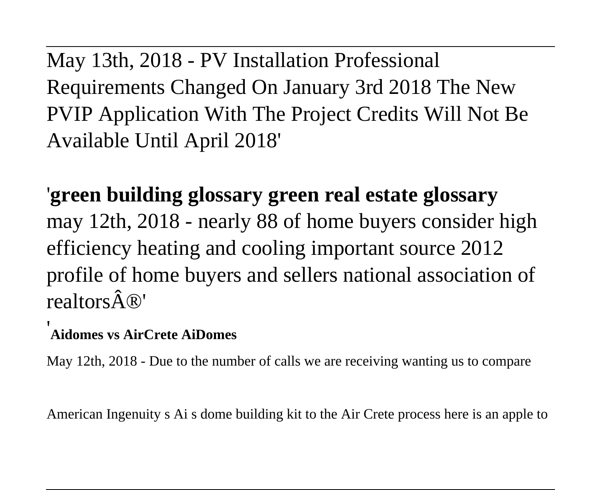May 13th, 2018 - PV Installation Professional Requirements Changed On January 3rd 2018 The New PVIP Application With The Project Credits Will Not Be Available Until April 2018'

'**green building glossary green real estate glossary** may 12th, 2018 - nearly 88 of home buyers consider high efficiency heating and cooling important source 2012 profile of home buyers and sellers national association of realtors  $\hat{A}(\mathbb{R})'$ 

#### '**Aidomes vs AirCrete AiDomes**

May 12th, 2018 - Due to the number of calls we are receiving wanting us to compare

American Ingenuity s Ai s dome building kit to the Air Crete process here is an apple to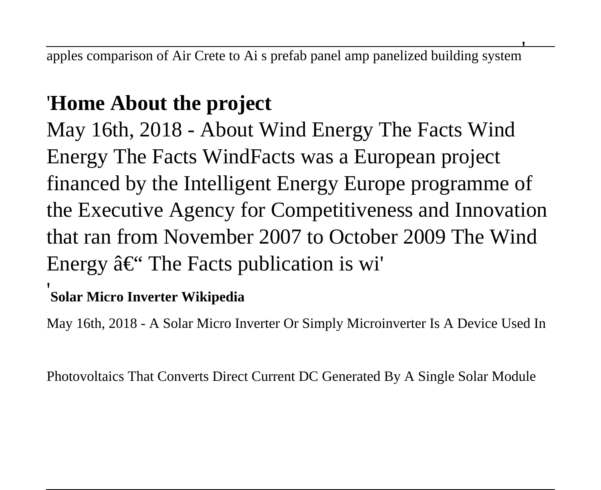apples comparison of Air Crete to Ai s prefab panel amp panelized building system'

## '**Home About the project**

May 16th, 2018 - About Wind Energy The Facts Wind Energy The Facts WindFacts was a European project financed by the Intelligent Energy Europe programme of the Executive Agency for Competitiveness and Innovation that ran from November 2007 to October 2009 The Wind Energy  $\hat{a} \in \hat{B}^*$  The Facts publication is wi'

### '**Solar Micro Inverter Wikipedia**

May 16th, 2018 - A Solar Micro Inverter Or Simply Microinverter Is A Device Used In

Photovoltaics That Converts Direct Current DC Generated By A Single Solar Module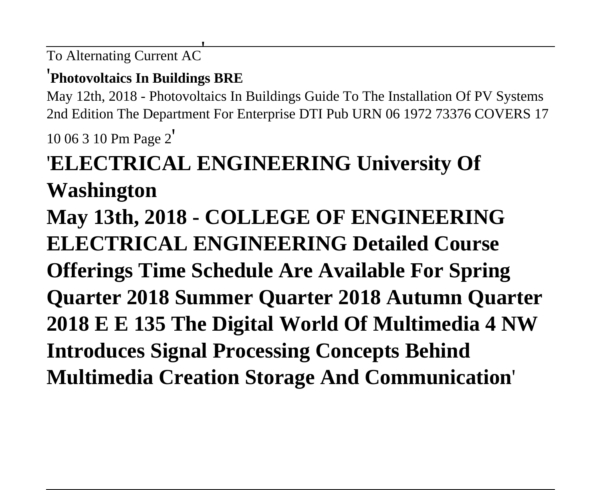To Alternating Current AC'

#### '**Photovoltaics In Buildings BRE**

May 12th, 2018 - Photovoltaics In Buildings Guide To The Installation Of PV Systems 2nd Edition The Department For Enterprise DTI Pub URN 06 1972 73376 COVERS 17

10 06 3 10 Pm Page 2'

## '**ELECTRICAL ENGINEERING University Of Washington**

**May 13th, 2018 - COLLEGE OF ENGINEERING ELECTRICAL ENGINEERING Detailed Course Offerings Time Schedule Are Available For Spring Quarter 2018 Summer Quarter 2018 Autumn Quarter 2018 E E 135 The Digital World Of Multimedia 4 NW Introduces Signal Processing Concepts Behind Multimedia Creation Storage And Communication**'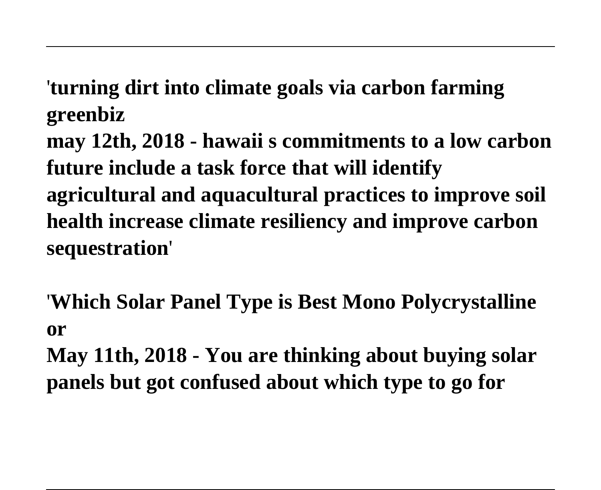'**turning dirt into climate goals via carbon farming greenbiz**

**may 12th, 2018 - hawaii s commitments to a low carbon future include a task force that will identify agricultural and aquacultural practices to improve soil health increase climate resiliency and improve carbon sequestration**'

'**Which Solar Panel Type is Best Mono Polycrystalline or**

**May 11th, 2018 - You are thinking about buying solar panels but got confused about which type to go for**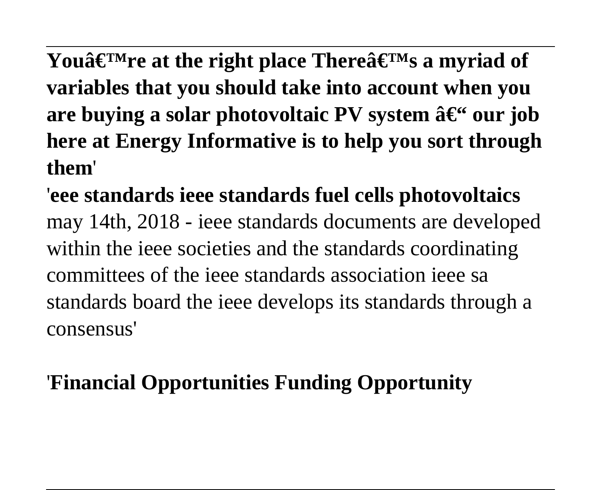You $\hat{\mathbf{a}} \in \mathbb{M}$  re at the right place There  $\hat{\mathbf{a}} \in \mathbb{M}$  a myriad of **variables that you should take into account when you** are buying a solar photovoltaic PV system  $\hat{a} \in \tilde{a}$  our job **here at Energy Informative is to help you sort through them**'

'**eee standards ieee standards fuel cells photovoltaics** may 14th, 2018 - ieee standards documents are developed within the ieee societies and the standards coordinating committees of the ieee standards association ieee sa standards board the ieee develops its standards through a consensus'

## '**Financial Opportunities Funding Opportunity**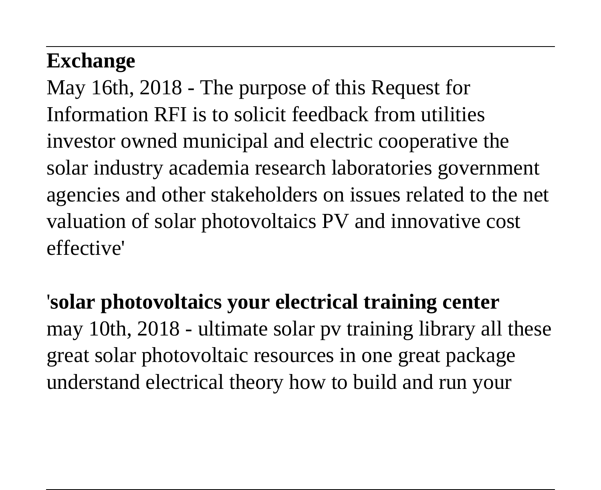## **Exchange**

May 16th, 2018 - The purpose of this Request for Information RFI is to solicit feedback from utilities investor owned municipal and electric cooperative the solar industry academia research laboratories government agencies and other stakeholders on issues related to the net valuation of solar photovoltaics PV and innovative cost effective'

'**solar photovoltaics your electrical training center** may 10th, 2018 - ultimate solar pv training library all these great solar photovoltaic resources in one great package understand electrical theory how to build and run your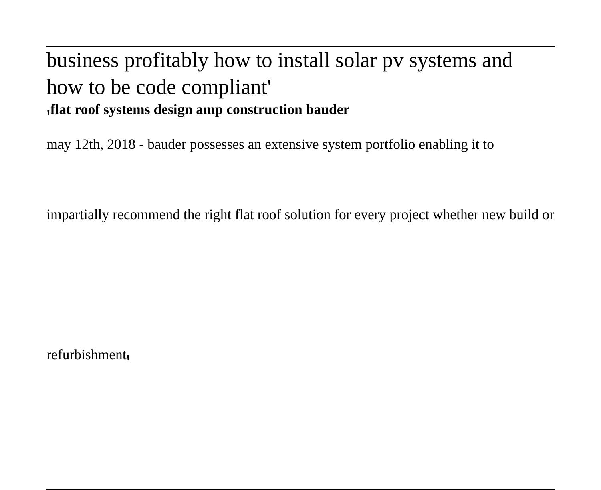### business profitably how to install solar pv systems and how to be code compliant' '**flat roof systems design amp construction bauder**

may 12th, 2018 - bauder possesses an extensive system portfolio enabling it to

impartially recommend the right flat roof solution for every project whether new build or

refurbishment'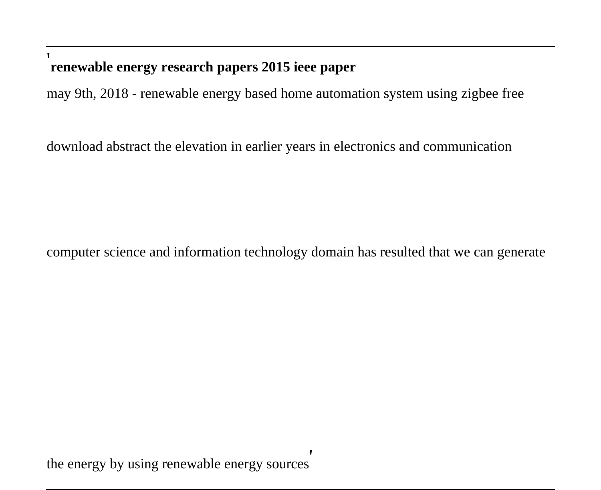### '**renewable energy research papers 2015 ieee paper**

may 9th, 2018 - renewable energy based home automation system using zigbee free

download abstract the elevation in earlier years in electronics and communication

computer science and information technology domain has resulted that we can generate

the energy by using renewable energy sources'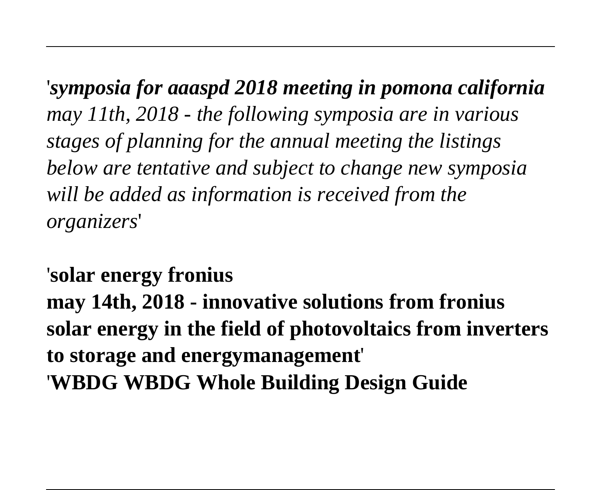'*symposia for aaaspd 2018 meeting in pomona california may 11th, 2018 - the following symposia are in various stages of planning for the annual meeting the listings below are tentative and subject to change new symposia will be added as information is received from the organizers*'

'**solar energy fronius may 14th, 2018 - innovative solutions from fronius solar energy in the field of photovoltaics from inverters to storage and energymanagement**' '**WBDG WBDG Whole Building Design Guide**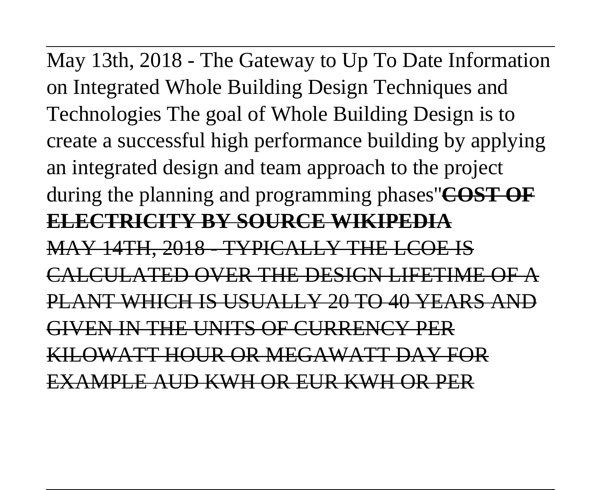May 13th, 2018 - The Gateway to Up To Date Information on Integrated Whole Building Design Techniques and Technologies The goal of Whole Building Design is to create a successful high performance building by applying an integrated design and team approach to the project during the planning and programming phases''**COST OF ELECTRICITY BY SOURCE WIKIPEDIA** MAY 14TH, 2018 - TYPICALLY THE LCOE IS CALCULATED OVER THE DESIGN LIFETIME OF A PLANT WHICH IS USUALLY 20 TO 40 YEARS AND GIVEN IN THE UNITS OF CURRENCY PER KILOWATT HOUR OR MEGAWATT DAY FOR

EXAMPLE AUD KWH OR EUR KWH OR PER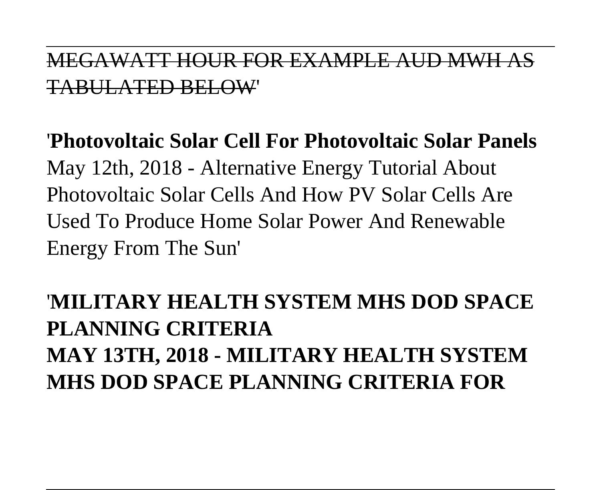### MEGAWATT HOUR FOR EXAMPLE AUD MWH AS TABULATED BELOW'

'**Photovoltaic Solar Cell For Photovoltaic Solar Panels** May 12th, 2018 - Alternative Energy Tutorial About Photovoltaic Solar Cells And How PV Solar Cells Are Used To Produce Home Solar Power And Renewable Energy From The Sun'

## '**MILITARY HEALTH SYSTEM MHS DOD SPACE PLANNING CRITERIA MAY 13TH, 2018 - MILITARY HEALTH SYSTEM MHS DOD SPACE PLANNING CRITERIA FOR**